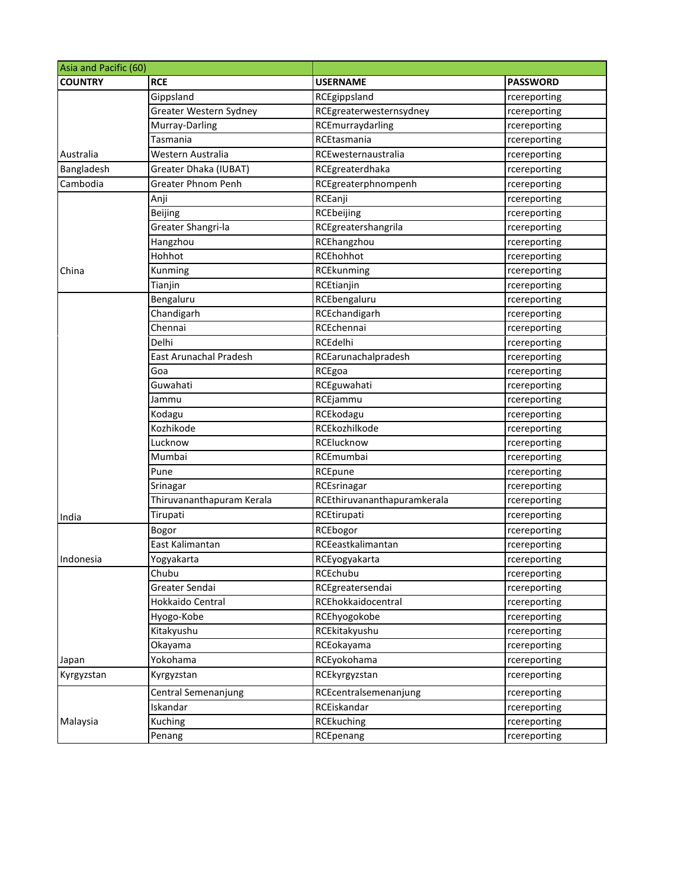| Asia and Pacific (60) |                           |                             |                 |
|-----------------------|---------------------------|-----------------------------|-----------------|
| <b>COUNTRY</b>        | <b>RCE</b>                | <b>USERNAME</b>             | <b>PASSWORD</b> |
|                       | Gippsland                 | RCEgippsland                | rcereporting    |
|                       | Greater Western Sydney    | RCEgreaterwesternsydney     | rcereporting    |
|                       | Murray-Darling            | RCEmurraydarling            | rcereporting    |
|                       | Tasmania                  | RCEtasmania                 | rcereporting    |
| Australia             | Western Australia         | RCEwesternaustralia         | rcereporting    |
| Bangladesh            | Greater Dhaka (IUBAT)     | RCEgreaterdhaka             | rcereporting    |
| Cambodia              | <b>Greater Phnom Penh</b> | RCEgreaterphnompenh         | rcereporting    |
|                       | Anji                      | RCEanji                     | rcereporting    |
|                       | <b>Beijing</b>            | RCEbeijing                  | rcereporting    |
|                       | Greater Shangri-la        | RCEgreatershangrila         | rcereporting    |
|                       | Hangzhou                  | RCEhangzhou                 | rcereporting    |
|                       | Hohhot                    | RCEhohhot                   | rcereporting    |
| China                 | Kunming                   | RCEkunming                  | rcereporting    |
|                       | Tianjin                   | RCEtianjin                  | rcereporting    |
|                       | Bengaluru                 | RCEbengaluru                | rcereporting    |
|                       | Chandigarh                | RCEchandigarh               | rcereporting    |
|                       | Chennai                   | RCEchennai                  | rcereporting    |
|                       | Delhi                     | RCEdelhi                    | rcereporting    |
|                       | East Arunachal Pradesh    | RCEarunachalpradesh         | rcereporting    |
|                       | Goa                       | RCEgoa                      | rcereporting    |
|                       | Guwahati                  | RCEguwahati                 | rcereporting    |
|                       | Jammu                     | RCEjammu                    | rcereporting    |
|                       | Kodagu                    | RCEkodagu                   | rcereporting    |
|                       | Kozhikode                 | RCEkozhilkode               | rcereporting    |
|                       | Lucknow                   | RCElucknow                  | rcereporting    |
|                       | Mumbai                    | RCEmumbai                   | rcereporting    |
|                       | Pune                      | RCEpune                     | rcereporting    |
|                       | Srinagar                  | RCEsrinagar                 | rcereporting    |
|                       | Thiruvananthapuram Kerala | RCEthiruvananthapuramkerala | rcereporting    |
| India                 | Tirupati                  | RCEtirupati                 | rcereporting    |
|                       | Bogor                     | RCEbogor                    | rcereporting    |
|                       | East Kalimantan           | RCEeastkalimantan           | rcereporting    |
| Indonesia             | Yogyakarta                | RCEyogyakarta               | rcereporting    |
|                       | Chubu                     | RCEchubu                    | rcereporting    |
|                       | Greater Sendai            | RCEgreatersendai            | rcereporting    |
|                       | Hokkaido Central          | RCEhokkaidocentral          | rcereporting    |
|                       | Hyogo-Kobe                | RCEhyogokobe                | rcereporting    |
|                       | Kitakyushu                | RCEkitakyushu               | rcereporting    |
|                       | Okayama                   | RCEokayama                  | rcereporting    |
| Japan                 | Yokohama                  | RCEyokohama                 | rcereporting    |
| Kyrgyzstan            | Kyrgyzstan                | RCEkyrgyzstan               | rcereporting    |
|                       | Central Semenanjung       | RCEcentralsemenanjung       | rcereporting    |
|                       | Iskandar                  | RCEiskandar                 | rcereporting    |
| Malaysia              | Kuching                   | <b>RCEkuching</b>           | rcereporting    |
|                       | Penang                    | RCEpenang                   | rcereporting    |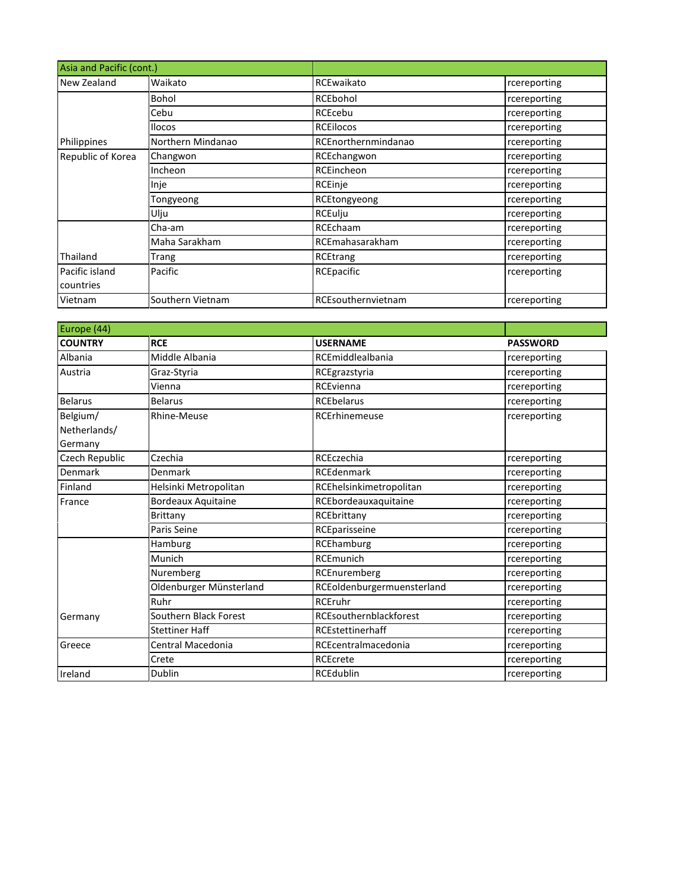| Asia and Pacific (cont.) |                   |                     |              |
|--------------------------|-------------------|---------------------|--------------|
| New Zealand              | Waikato           | RCEwaikato          | rcereporting |
|                          | Bohol             | RCEbohol            | rcereporting |
|                          | Cebu              | RCEcebu             | rcereporting |
|                          | <b>Ilocos</b>     | <b>RCEIlocos</b>    | rcereporting |
| Philippines              | Northern Mindanao | RCEnorthernmindanao | rcereporting |
| Republic of Korea        | Changwon          | RCEchangwon         | rcereporting |
|                          | Incheon           | RCEincheon          | rcereporting |
|                          | Inje              | RCEinje             | rcereporting |
|                          | Tongyeong         | RCEtongyeong        | rcereporting |
|                          | Ulju              | <b>RCEulju</b>      | rcereporting |
|                          | Cha-am            | RCEchaam            | rcereporting |
|                          | Maha Sarakham     | RCEmahasarakham     | rcereporting |
| Thailand                 | Trang             | RCEtrang            | rcereporting |
| Pacific island           | Pacific           | RCEpacific          | rcereporting |
| countries                |                   |                     |              |
| Vietnam                  | Southern Vietnam  | RCEsouthernvietnam  | rcereporting |

| Europe (44)    |                           |                            |                 |
|----------------|---------------------------|----------------------------|-----------------|
| <b>COUNTRY</b> | <b>RCE</b>                | <b>USERNAME</b>            | <b>PASSWORD</b> |
| Albania        | Middle Albania            | RCEmiddlealbania           | rcereporting    |
| Austria        | Graz-Styria               | RCEgrazstyria              | rcereporting    |
|                | Vienna                    | RCEvienna                  | rcereporting    |
| <b>Belarus</b> | <b>Belarus</b>            | <b>RCEbelarus</b>          | rcereporting    |
| Belgium/       | Rhine-Meuse               | <b>RCErhinemeuse</b>       | rcereporting    |
| Netherlands/   |                           |                            |                 |
| Germany        |                           |                            |                 |
| Czech Republic | Czechia                   | RCEczechia                 | rcereporting    |
| Denmark        | Denmark                   | <b>RCEdenmark</b>          | rcereporting    |
| Finland        | Helsinki Metropolitan     | RCEhelsinkimetropolitan    | rcereporting    |
| France         | <b>Bordeaux Aquitaine</b> | RCEbordeauxaquitaine       | rcereporting    |
|                | Brittany                  | RCEbrittany                | rcereporting    |
|                | Paris Seine               | RCEparisseine              | rcereporting    |
|                | Hamburg                   | RCEhamburg                 | rcereporting    |
|                | Munich                    | <b>RCEmunich</b>           | rcereporting    |
|                | Nuremberg                 | RCEnuremberg               | rcereporting    |
|                | Oldenburger Münsterland   | RCEoldenburgermuensterland | rcereporting    |
|                | Ruhr                      | <b>RCEruhr</b>             | rcereporting    |
| Germany        | Southern Black Forest     | RCEsouthernblackforest     | rcereporting    |
|                | <b>Stettiner Haff</b>     | RCEstettinerhaff           | rcereporting    |
| Greece         | Central Macedonia         | RCEcentralmacedonia        | rcereporting    |
|                | Crete                     | <b>RCEcrete</b>            | rcereporting    |
| Ireland        | Dublin                    | <b>RCEdublin</b>           | rcereporting    |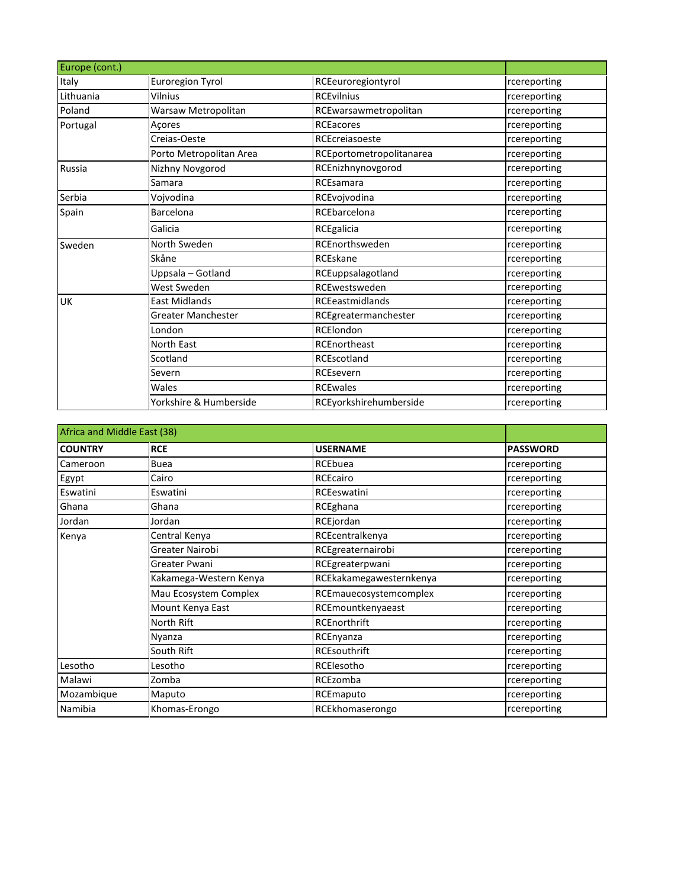| Europe (cont.) |                         |                          |              |
|----------------|-------------------------|--------------------------|--------------|
| Italy          | Euroregion Tyrol        | RCEeuroregiontyrol       | rcereporting |
| Lithuania      | Vilnius                 | <b>RCEvilnius</b>        | rcereporting |
| Poland         | Warsaw Metropolitan     | RCEwarsawmetropolitan    | rcereporting |
| Portugal       | Açores                  | <b>RCEacores</b>         | rcereporting |
|                | Creias-Oeste            | RCEcreiasoeste           | rcereporting |
|                | Porto Metropolitan Area | RCEportometropolitanarea | rcereporting |
| <b>Russia</b>  | Nizhny Novgorod         | RCEnizhnynovgorod        | rcereporting |
|                | Samara                  | RCEsamara                | rcereporting |
| Serbia         | Vojvodina               | RCEvojvodina             | rcereporting |
| Spain          | Barcelona               | RCEbarcelona             | rcereporting |
|                | Galicia                 | RCEgalicia               | rcereporting |
| Sweden         | North Sweden            | RCEnorthsweden           | rcereporting |
|                | Skåne                   | RCEskane                 | rcereporting |
|                | Uppsala - Gotland       | RCEuppsalagotland        | rcereporting |
|                | West Sweden             | RCEwestsweden            | rcereporting |
| <b>UK</b>      | <b>East Midlands</b>    | <b>RCEeastmidlands</b>   | rcereporting |
|                | Greater Manchester      | RCEgreatermanchester     | rcereporting |
|                | London                  | RCElondon                | rcereporting |
|                | <b>North East</b>       | RCEnortheast             | rcereporting |
|                | Scotland                | RCEscotland              | rcereporting |
|                | Severn                  | RCEsevern                | rcereporting |
|                | Wales                   | <b>RCEwales</b>          | rcereporting |
|                | Yorkshire & Humberside  | RCEyorkshirehumberside   | rcereporting |

| Africa and Middle East (38) |                        |                         |                 |
|-----------------------------|------------------------|-------------------------|-----------------|
| <b>COUNTRY</b>              | <b>RCE</b>             | <b>USERNAME</b>         | <b>PASSWORD</b> |
| Cameroon                    | <b>Buea</b>            | RCEbuea                 | rcereporting    |
| Egypt                       | Cairo                  | RCEcairo                | rcereporting    |
| Eswatini                    | Eswatini               | RCEeswatini             | rcereporting    |
| Ghana                       | Ghana                  | RCEghana                | rcereporting    |
| Jordan                      | Jordan                 | RCEjordan               | rcereporting    |
| Kenya                       | Central Kenya          | RCEcentralkenya         | rcereporting    |
|                             | Greater Nairobi        | RCEgreaternairobi       | rcereporting    |
|                             | Greater Pwani          | RCEgreaterpwani         | rcereporting    |
|                             | Kakamega-Western Kenya | RCEkakamegawesternkenya | rcereporting    |
|                             | Mau Ecosystem Complex  | RCEmauecosystemcomplex  | rcereporting    |
|                             | Mount Kenya East       | RCEmountkenyaeast       | rcereporting    |
|                             | North Rift             | RCEnorthrift            | rcereporting    |
|                             | Nyanza                 | RCEnyanza               | rcereporting    |
|                             | South Rift             | <b>RCEsouthrift</b>     | rcereporting    |
| Lesotho                     | Lesotho                | RCElesotho              | rcereporting    |
| Malawi                      | Zomba                  | RCEzomba                | rcereporting    |
| Mozambique                  | Maputo                 | RCEmaputo               | rcereporting    |
| Namibia                     | Khomas-Erongo          | RCEkhomaserongo         | rcereporting    |